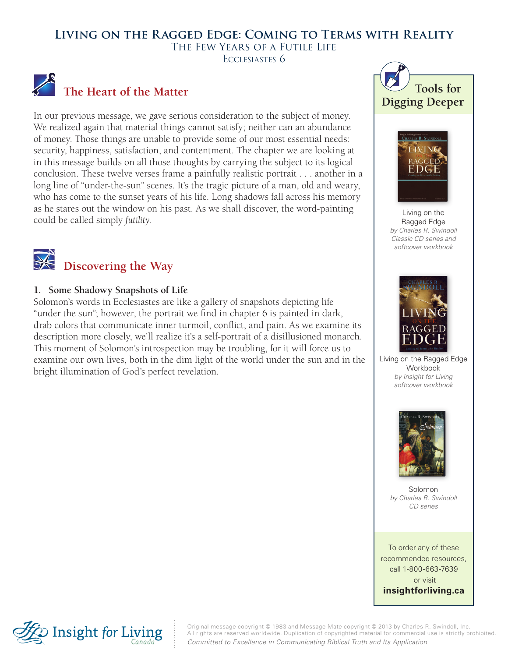# **Living on the Ragged Edge: Coming to Terms with Reality** The Few Years of a Futile Life ECCLESIASTES 6



In our previous message, we gave serious consideration to the subject of money. We realized again that material things cannot satisfy; neither can an abundance of money. Those things are unable to provide some of our most essential needs: security, happiness, satisfaction, and contentment. The chapter we are looking at in this message builds on all those thoughts by carrying the subject to its logical conclusion. These twelve verses frame a painfully realistic portrait . . . another in a long line of "under-the-sun" scenes. It's the tragic picture of a man, old and weary, who has come to the sunset years of his life. Long shadows fall across his memory as he stares out the window on his past. As we shall discover, the word-painting could be called simply *futility*.



# **Discovering the Way**

#### **1. Some Shadowy Snapshots of Life**

Solomon's words in Ecclesiastes are like a gallery of snapshots depicting life "under the sun"; however, the portrait we find in chapter 6 is painted in dark, drab colors that communicate inner turmoil, conflict, and pain. As we examine its description more closely, we'll realize it's a self-portrait of a disillusioned monarch. This moment of Solomon's introspection may be troubling, for it will force us to examine our own lives, both in the dim light of the world under the sun and in the bright illumination of God's perfect revelation.





Living on the Ragged Edge *by Charles R. Swindoll Classic CD series and softcover workbook*



Living on the Ragged Edge Workbook *by Insight for Living softcover workbook*



Solomon *by Charles R. Swindoll CD series*

To order any of these recommended resources, call 1-800-663-7639 or visit **insightforliving.ca**



Original message copyright © 1983 and Message Mate copyright © 2013 by Charles R. Swindoll, Inc. All rights are reserved worldwide. Duplication of copyrighted material for commercial use is strictly prohibited. *Committed to Excellence in Communicating Biblical Truth and Its Application*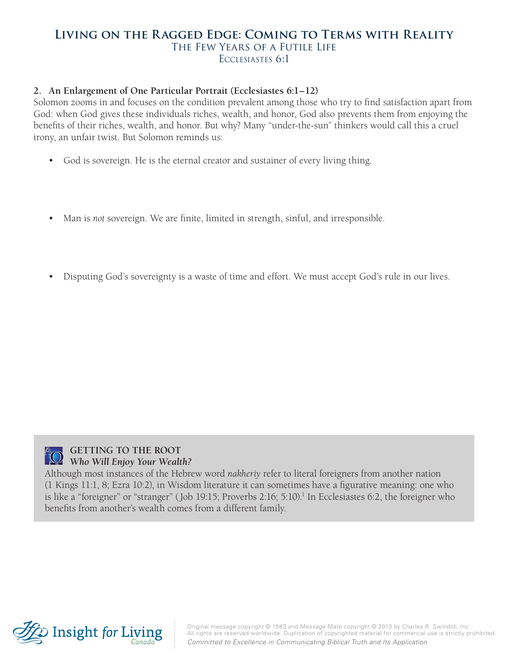### **Living on the Ragged Edge: Coming to Terms with Reality** The Few Years of a Futile Life Ecclesiastes 6:1

#### **2. An Enlargement of One Particular Portrait (Ecclesiastes 6:1–12)**

Solomon zooms in and focuses on the condition prevalent among those who try to find satisfaction apart from God: when God gives these individuals riches, wealth, and honor, God also prevents them from enjoying the benefits of their riches, wealth, and honor. But why? Many "under-the-sun" thinkers would call this a cruel irony, an unfair twist. But Solomon reminds us:

- God is sovereign. He is the eternal creator and sustainer of every living thing.
- Man is *not* sovereign. We are finite, limited in strength, sinful, and irresponsible.
- Disputing God's sovereignty is a waste of time and effort. We must accept God's rule in our lives.



#### **GETTING TO THE ROOT** *Who Will Enjoy Your Wealth?*

Although most instances of the Hebrew word *nakheriy* refer to literal foreigners from another nation (1 Kings 11:1, 8; Ezra 10:2), in Wisdom literature it can sometimes have a figurative meaning: one who is like a "foreigner" or "stranger" (Job 19:15; Proverbs 2:16; 5:10).<sup>1</sup> In Ecclesiastes 6:2, the foreigner who benefits from another's wealth comes from a different family.



Original message copyright © 1983 and Message Mate copyright © 2013 by Charles R. Swindoll, Inc. All rights are reserved worldwide. Duplication of copyrighted material for commercial use is strictly prohibited. *Committed to Excellence in Communicating Biblical Truth and Its Application*